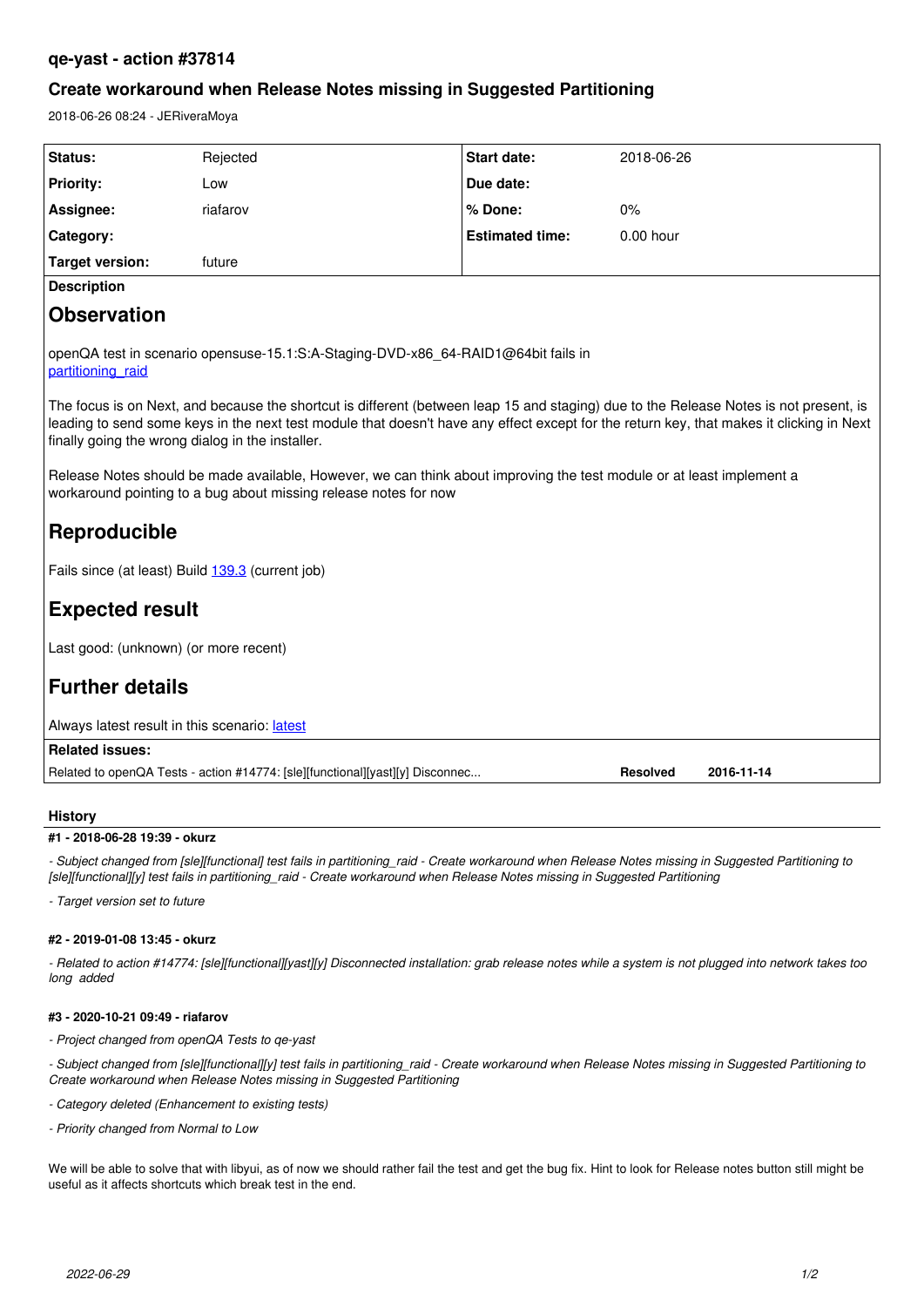# **qe-yast - action #37814**

# **Create workaround when Release Notes missing in Suggested Partitioning**

2018-06-26 08:24 - JERiveraMoya

| Status:                                                                                                                                                                                                                                                                                                                               | Rejected | <b>Start date:</b>     | 2018-06-26  |
|---------------------------------------------------------------------------------------------------------------------------------------------------------------------------------------------------------------------------------------------------------------------------------------------------------------------------------------|----------|------------------------|-------------|
| <b>Priority:</b>                                                                                                                                                                                                                                                                                                                      | Low      | Due date:              |             |
| Assignee:                                                                                                                                                                                                                                                                                                                             | riafarov | % Done:                | 0%          |
| Category:                                                                                                                                                                                                                                                                                                                             |          | <b>Estimated time:</b> | $0.00$ hour |
| <b>Target version:</b>                                                                                                                                                                                                                                                                                                                | future   |                        |             |
| <b>Description</b>                                                                                                                                                                                                                                                                                                                    |          |                        |             |
| <b>Observation</b>                                                                                                                                                                                                                                                                                                                    |          |                        |             |
| openQA test in scenario opensuse-15.1:S:A-Staging-DVD-x86 64-RAID1@64bit fails in<br>partitioning raid                                                                                                                                                                                                                                |          |                        |             |
| The focus is on Next, and because the shortcut is different (between leap 15 and staging) due to the Release Notes is not present, is<br>leading to send some keys in the next test module that doesn't have any effect except for the return key, that makes it clicking in Next<br>finally going the wrong dialog in the installer. |          |                        |             |
| Release Notes should be made available, However, we can think about improving the test module or at least implement a<br>workaround pointing to a bug about missing release notes for now                                                                                                                                             |          |                        |             |
| Reproducible                                                                                                                                                                                                                                                                                                                          |          |                        |             |
| Fails since (at least) Build 139.3 (current job)                                                                                                                                                                                                                                                                                      |          |                        |             |
| <b>Expected result</b>                                                                                                                                                                                                                                                                                                                |          |                        |             |
| Last good: (unknown) (or more recent)                                                                                                                                                                                                                                                                                                 |          |                        |             |
| <b>Further details</b>                                                                                                                                                                                                                                                                                                                |          |                        |             |
| Always latest result in this scenario: latest                                                                                                                                                                                                                                                                                         |          |                        |             |
| <b>Related issues:</b>                                                                                                                                                                                                                                                                                                                |          |                        |             |
| Related to openQA Tests - action #14774: [sle][functional][yast][y] Disconnec<br><b>Resolved</b><br>2016-11-14                                                                                                                                                                                                                        |          |                        |             |

## **History**

## **#1 - 2018-06-28 19:39 - okurz**

*- Subject changed from [sle][functional] test fails in partitioning\_raid - Create workaround when Release Notes missing in Suggested Partitioning to [sle][functional][y] test fails in partitioning\_raid - Create workaround when Release Notes missing in Suggested Partitioning*

*- Target version set to future*

### **#2 - 2019-01-08 13:45 - okurz**

*- Related to action #14774: [sle][functional][yast][y] Disconnected installation: grab release notes while a system is not plugged into network takes too long added*

### **#3 - 2020-10-21 09:49 - riafarov**

*- Project changed from openQA Tests to qe-yast*

*- Subject changed from [sle][functional][y] test fails in partitioning\_raid - Create workaround when Release Notes missing in Suggested Partitioning to Create workaround when Release Notes missing in Suggested Partitioning*

*- Category deleted (Enhancement to existing tests)*

*- Priority changed from Normal to Low*

We will be able to solve that with libyui, as of now we should rather fail the test and get the bug fix. Hint to look for Release notes button still might be useful as it affects shortcuts which break test in the end.